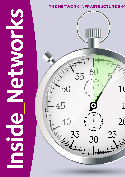# **SPIER SERVIER** ICC V

### THE NETWORK INFRASTRUCTURE E-M

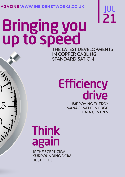**AGAZINE WWW.INSIDENETWORKS.CO.UK** 

# JUL 21

## THE LATEST DEVELOPMENTS IN COPPER CABLING **STANDARDISATION** Bringing you up to speed

# Efficiency drive

IMPROVING ENERGY MANAGEMENT IN EDGE DATA CENTRES

# Think again

IS THE SCEPTICISM SURROUNDING DCIM JUSTIFIED?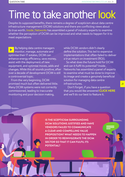## Time to take another look

Despite its supposed benefits, there remains a degree of scepticism about data centre infrastructure management (DCIM) solutions and there are conflicting views about its true worth. Inside\_Networks has assembled a panel of industry experts to examine whether the perception of DCIM can be improved and what needs to happen for it to meet expectations

By helping data centre managers monitor, manage, automate and optimise their IT estates, DCIM can enhance energy efficiency, save money, assist with the deployment of new equipment, and optimise moves, adds and changes. While this all sounds positive, after over a decade of development DCIM is still a controversial topic.

From the very beginning, DCIM promised much but often delivered little. Many DCIM systems were not correctly commissioned, leading to inaccurate monitoring and poor decision making,

while DCIM vendors didn't clearly define the solution. This led to expensive implementations that often failed to deliver a true return on investment (ROI).

So what does the future hold for DCIM and can it fulfil its potential? Inside\_ Networks has assembled a panel of experts to examine what must be done to improve its image and create a genuinely beneficial solution for managing data centre infrastructures.

 Don't forget, if you have a question that you would like answered **[CLICK HERE](mailto:rob@insidenetworks.co.uk)** and we'll do our best to feature it.

**IS THE SCEPTICISM SURROUNDING DCIM SOLUTIONS JUSTIFIED AND HAVE VENDORS FAILED TO COMMUNICATE A CLEAR AND COMPELLING VALUE PROPOSITION? WHAT NEEDS TO HAPPEN IN ORDER TO REINVIGORATE THE DCIM SECTOR SO THAT IT CAN FULFIL ITS POTENTIAL?**